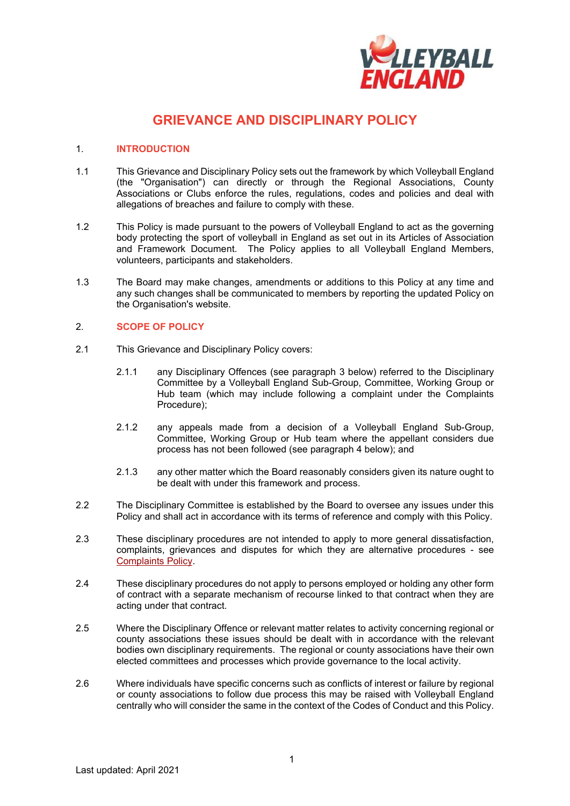

# **GRIEVANCE AND DISCIPLINARY POLICY**

# 1. **INTRODUCTION**

- 1.1 This Grievance and Disciplinary Policy sets out the framework by which Volleyball England (the "Organisation") can directly or through the Regional Associations, County Associations or Clubs enforce the rules, regulations, codes and policies and deal with allegations of breaches and failure to comply with these.
- 1.2 This Policy is made pursuant to the powers of Volleyball England to act as the governing body protecting the sport of volleyball in England as set out in its Articles of Association and Framework Document. The Policy applies to all Volleyball England Members, volunteers, participants and stakeholders.
- 1.3 The Board may make changes, amendments or additions to this Policy at any time and any such changes shall be communicated to members by reporting the updated Policy on the Organisation's website.

## 2. **SCOPE OF POLICY**

- 2.1 This Grievance and Disciplinary Policy covers:
	- 2.1.1 any Disciplinary Offences (see paragraph 3 below) referred to the Disciplinary Committee by a Volleyball England Sub-Group, Committee, Working Group or Hub team (which may include following a complaint under the Complaints Procedure);
	- 2.1.2 any appeals made from a decision of a Volleyball England Sub-Group, Committee, Working Group or Hub team where the appellant considers due process has not been followed (see paragraph 4 below); and
	- 2.1.3 any other matter which the Board reasonably considers given its nature ought to be dealt with under this framework and process.
- 2.2 The Disciplinary Committee is established by the Board to oversee any issues under this Policy and shall act in accordance with its terms of reference and comply with this Policy.
- 2.3 These disciplinary procedures are not intended to apply to more general dissatisfaction, complaints, grievances and disputes for which they are alternative procedures - see [Complaints Policy.](https://www.volleyballengland.org/about_us/about_us_/governance)
- 2.4 These disciplinary procedures do not apply to persons employed or holding any other form of contract with a separate mechanism of recourse linked to that contract when they are acting under that contract.
- 2.5 Where the Disciplinary Offence or relevant matter relates to activity concerning regional or county associations these issues should be dealt with in accordance with the relevant bodies own disciplinary requirements. The regional or county associations have their own elected committees and processes which provide governance to the local activity.
- 2.6 Where individuals have specific concerns such as conflicts of interest or failure by regional or county associations to follow due process this may be raised with Volleyball England centrally who will consider the same in the context of the Codes of Conduct and this Policy.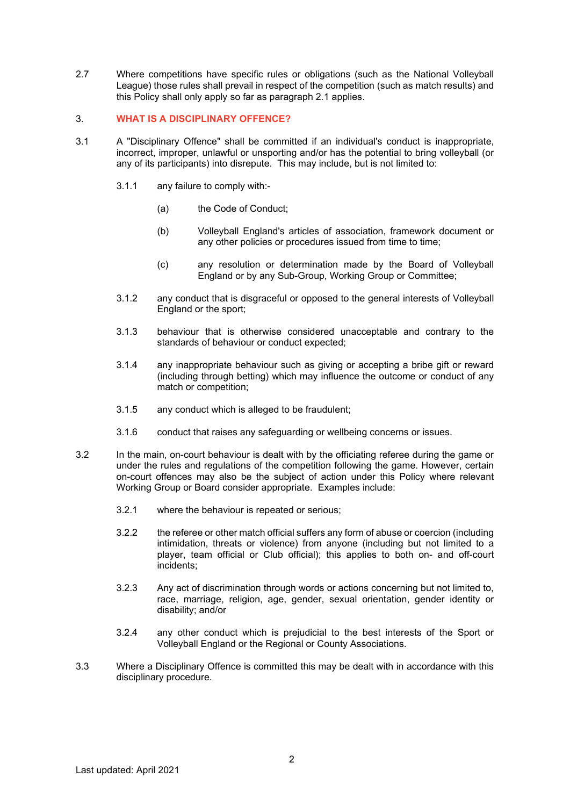2.7 Where competitions have specific rules or obligations (such as the National Volleyball League) those rules shall prevail in respect of the competition (such as match results) and this Policy shall only apply so far as paragraph 2.1 applies.

## 3. **WHAT IS A DISCIPLINARY OFFENCE?**

- 3.1 A "Disciplinary Offence" shall be committed if an individual's conduct is inappropriate, incorrect, improper, unlawful or unsporting and/or has the potential to bring volleyball (or any of its participants) into disrepute. This may include, but is not limited to:
	- 3.1.1 any failure to comply with:-
		- (a) the Code of Conduct;
		- (b) Volleyball England's articles of association, framework document or any other policies or procedures issued from time to time;
		- (c) any resolution or determination made by the Board of Volleyball England or by any Sub-Group, Working Group or Committee;
	- 3.1.2 any conduct that is disgraceful or opposed to the general interests of Volleyball England or the sport;
	- 3.1.3 behaviour that is otherwise considered unacceptable and contrary to the standards of behaviour or conduct expected;
	- 3.1.4 any inappropriate behaviour such as giving or accepting a bribe gift or reward (including through betting) which may influence the outcome or conduct of any match or competition;
	- 3.1.5 any conduct which is alleged to be fraudulent;
	- 3.1.6 conduct that raises any safeguarding or wellbeing concerns or issues.
- 3.2 In the main, on-court behaviour is dealt with by the officiating referee during the game or under the rules and regulations of the competition following the game. However, certain on-court offences may also be the subject of action under this Policy where relevant Working Group or Board consider appropriate. Examples include:
	- 3.2.1 where the behaviour is repeated or serious;
	- 3.2.2 the referee or other match official suffers any form of abuse or coercion (including intimidation, threats or violence) from anyone (including but not limited to a player, team official or Club official); this applies to both on- and off-court incidents;
	- 3.2.3 Any act of discrimination through words or actions concerning but not limited to, race, marriage, religion, age, gender, sexual orientation, gender identity or disability; and/or
	- 3.2.4 any other conduct which is prejudicial to the best interests of the Sport or Volleyball England or the Regional or County Associations.
- 3.3 Where a Disciplinary Offence is committed this may be dealt with in accordance with this disciplinary procedure.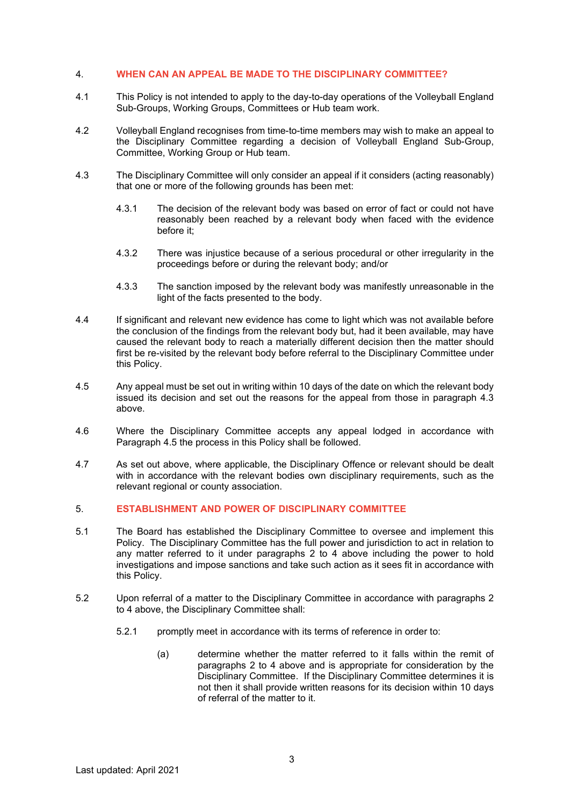## 4. **WHEN CAN AN APPEAL BE MADE TO THE DISCIPLINARY COMMITTEE?**

- 4.1 This Policy is not intended to apply to the day-to-day operations of the Volleyball England Sub-Groups, Working Groups, Committees or Hub team work.
- 4.2 Volleyball England recognises from time-to-time members may wish to make an appeal to the Disciplinary Committee regarding a decision of Volleyball England Sub-Group, Committee, Working Group or Hub team.
- 4.3 The Disciplinary Committee will only consider an appeal if it considers (acting reasonably) that one or more of the following grounds has been met:
	- 4.3.1 The decision of the relevant body was based on error of fact or could not have reasonably been reached by a relevant body when faced with the evidence before it;
	- 4.3.2 There was injustice because of a serious procedural or other irregularity in the proceedings before or during the relevant body; and/or
	- 4.3.3 The sanction imposed by the relevant body was manifestly unreasonable in the light of the facts presented to the body.
- 4.4 If significant and relevant new evidence has come to light which was not available before the conclusion of the findings from the relevant body but, had it been available, may have caused the relevant body to reach a materially different decision then the matter should first be re-visited by the relevant body before referral to the Disciplinary Committee under this Policy.
- 4.5 Any appeal must be set out in writing within 10 days of the date on which the relevant body issued its decision and set out the reasons for the appeal from those in paragraph 4.3 above.
- 4.6 Where the Disciplinary Committee accepts any appeal lodged in accordance with Paragraph 4.5 the process in this Policy shall be followed.
- 4.7 As set out above, where applicable, the Disciplinary Offence or relevant should be dealt with in accordance with the relevant bodies own disciplinary requirements, such as the relevant regional or county association.

### 5. **ESTABLISHMENT AND POWER OF DISCIPLINARY COMMITTEE**

- 5.1 The Board has established the Disciplinary Committee to oversee and implement this Policy. The Disciplinary Committee has the full power and jurisdiction to act in relation to any matter referred to it under paragraphs 2 to 4 above including the power to hold investigations and impose sanctions and take such action as it sees fit in accordance with this Policy.
- 5.2 Upon referral of a matter to the Disciplinary Committee in accordance with paragraphs 2 to 4 above, the Disciplinary Committee shall:
	- 5.2.1 promptly meet in accordance with its terms of reference in order to:
		- (a) determine whether the matter referred to it falls within the remit of paragraphs 2 to 4 above and is appropriate for consideration by the Disciplinary Committee. If the Disciplinary Committee determines it is not then it shall provide written reasons for its decision within 10 days of referral of the matter to it.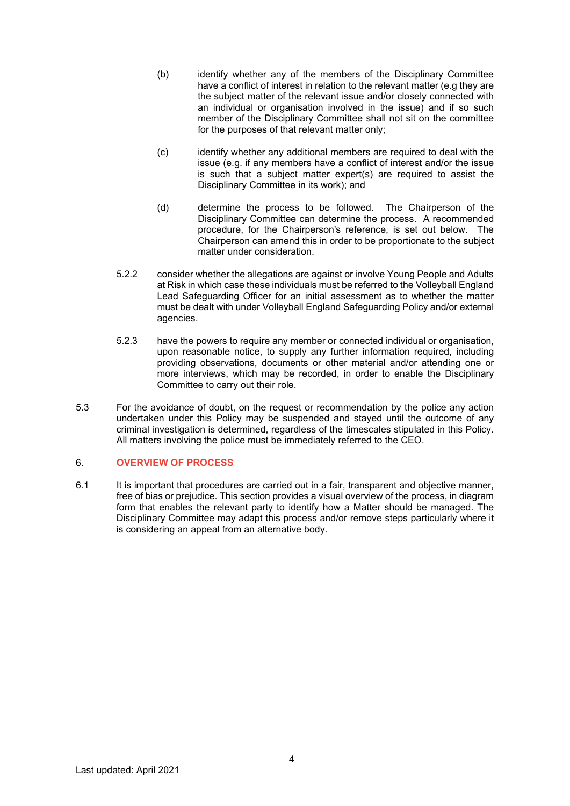- (b) identify whether any of the members of the Disciplinary Committee have a conflict of interest in relation to the relevant matter (e.g they are the subject matter of the relevant issue and/or closely connected with an individual or organisation involved in the issue) and if so such member of the Disciplinary Committee shall not sit on the committee for the purposes of that relevant matter only;
- (c) identify whether any additional members are required to deal with the issue (e.g. if any members have a conflict of interest and/or the issue is such that a subject matter expert(s) are required to assist the Disciplinary Committee in its work); and
- (d) determine the process to be followed. The Chairperson of the Disciplinary Committee can determine the process. A recommended procedure, for the Chairperson's reference, is set out below. The Chairperson can amend this in order to be proportionate to the subject matter under consideration.
- 5.2.2 consider whether the allegations are against or involve Young People and Adults at Risk in which case these individuals must be referred to the Volleyball England Lead Safeguarding Officer for an initial assessment as to whether the matter must be dealt with under Volleyball England Safeguarding Policy and/or external agencies.
- 5.2.3 have the powers to require any member or connected individual or organisation, upon reasonable notice, to supply any further information required, including providing observations, documents or other material and/or attending one or more interviews, which may be recorded, in order to enable the Disciplinary Committee to carry out their role.
- 5.3 For the avoidance of doubt, on the request or recommendation by the police any action undertaken under this Policy may be suspended and stayed until the outcome of any criminal investigation is determined, regardless of the timescales stipulated in this Policy. All matters involving the police must be immediately referred to the CEO.

# 6. **OVERVIEW OF PROCESS**

6.1 It is important that procedures are carried out in a fair, transparent and objective manner, free of bias or prejudice. This section provides a visual overview of the process, in diagram form that enables the relevant party to identify how a Matter should be managed. The Disciplinary Committee may adapt this process and/or remove steps particularly where it is considering an appeal from an alternative body.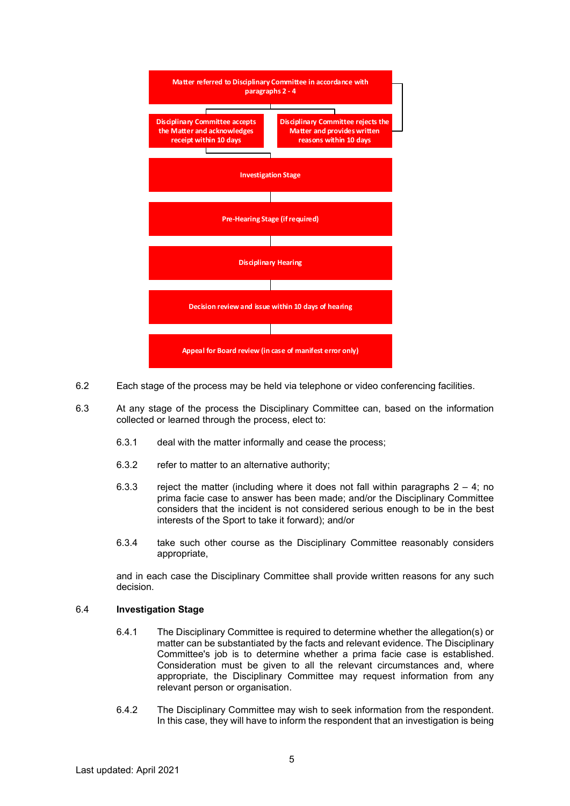

- 6.2 Each stage of the process may be held via telephone or video conferencing facilities.
- 6.3 At any stage of the process the Disciplinary Committee can, based on the information collected or learned through the process, elect to:
	- 6.3.1 deal with the matter informally and cease the process;
	- 6.3.2 refer to matter to an alternative authority;
	- 6.3.3 reject the matter (including where it does not fall within paragraphs  $2 4$ ; no prima facie case to answer has been made; and/or the Disciplinary Committee considers that the incident is not considered serious enough to be in the best interests of the Sport to take it forward); and/or
	- 6.3.4 take such other course as the Disciplinary Committee reasonably considers appropriate,

and in each case the Disciplinary Committee shall provide written reasons for any such decision.

#### 6.4 **Investigation Stage**

- 6.4.1 The Disciplinary Committee is required to determine whether the allegation(s) or matter can be substantiated by the facts and relevant evidence. The Disciplinary Committee's job is to determine whether a prima facie case is established. Consideration must be given to all the relevant circumstances and, where appropriate, the Disciplinary Committee may request information from any relevant person or organisation.
- 6.4.2 The Disciplinary Committee may wish to seek information from the respondent. In this case, they will have to inform the respondent that an investigation is being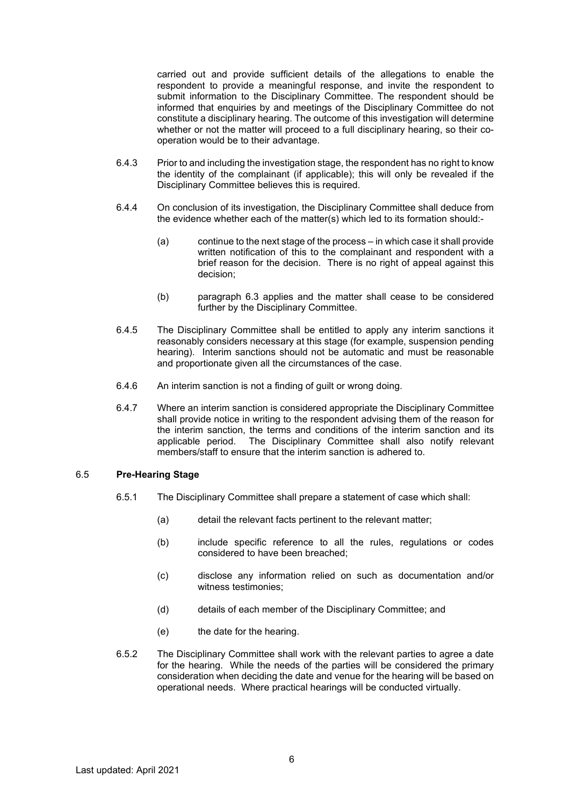carried out and provide sufficient details of the allegations to enable the respondent to provide a meaningful response, and invite the respondent to submit information to the Disciplinary Committee. The respondent should be informed that enquiries by and meetings of the Disciplinary Committee do not constitute a disciplinary hearing. The outcome of this investigation will determine whether or not the matter will proceed to a full disciplinary hearing, so their cooperation would be to their advantage.

- 6.4.3 Prior to and including the investigation stage, the respondent has no right to know the identity of the complainant (if applicable); this will only be revealed if the Disciplinary Committee believes this is required.
- 6.4.4 On conclusion of its investigation, the Disciplinary Committee shall deduce from the evidence whether each of the matter(s) which led to its formation should:-
	- (a) continue to the next stage of the process in which case it shall provide written notification of this to the complainant and respondent with a brief reason for the decision. There is no right of appeal against this decision;
	- (b) paragraph 6.3 applies and the matter shall cease to be considered further by the Disciplinary Committee.
- 6.4.5 The Disciplinary Committee shall be entitled to apply any interim sanctions it reasonably considers necessary at this stage (for example, suspension pending hearing). Interim sanctions should not be automatic and must be reasonable and proportionate given all the circumstances of the case.
- 6.4.6 An interim sanction is not a finding of guilt or wrong doing.
- 6.4.7 Where an interim sanction is considered appropriate the Disciplinary Committee shall provide notice in writing to the respondent advising them of the reason for the interim sanction, the terms and conditions of the interim sanction and its applicable period. The Disciplinary Committee shall also notify relevant members/staff to ensure that the interim sanction is adhered to.

#### 6.5 **Pre-Hearing Stage**

- 6.5.1 The Disciplinary Committee shall prepare a statement of case which shall:
	- (a) detail the relevant facts pertinent to the relevant matter;
	- (b) include specific reference to all the rules, regulations or codes considered to have been breached;
	- (c) disclose any information relied on such as documentation and/or witness testimonies;
	- (d) details of each member of the Disciplinary Committee; and
	- (e) the date for the hearing.
- 6.5.2 The Disciplinary Committee shall work with the relevant parties to agree a date for the hearing. While the needs of the parties will be considered the primary consideration when deciding the date and venue for the hearing will be based on operational needs. Where practical hearings will be conducted virtually.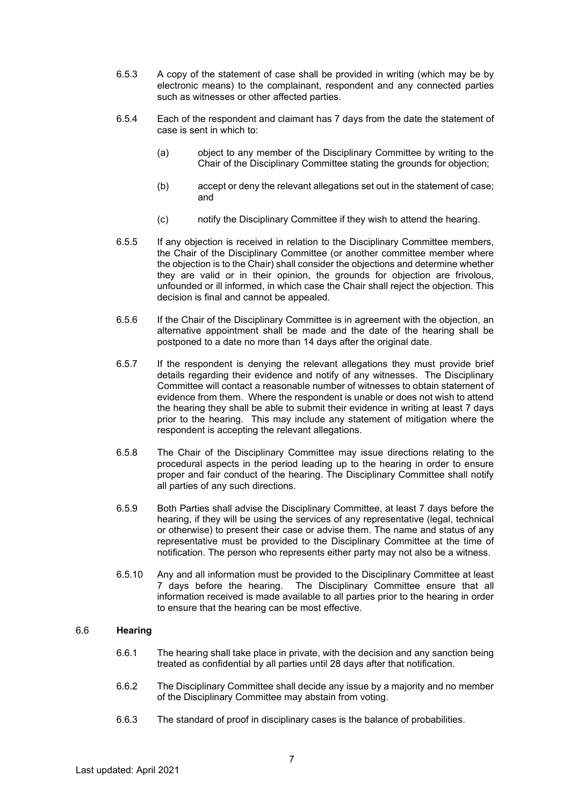- 6.5.3 A copy of the statement of case shall be provided in writing (which may be by electronic means) to the complainant, respondent and any connected parties such as witnesses or other affected parties.
- 6.5.4 Each of the respondent and claimant has 7 days from the date the statement of case is sent in which to:
	- (a) object to any member of the Disciplinary Committee by writing to the Chair of the Disciplinary Committee stating the grounds for objection;
	- (b) accept or deny the relevant allegations set out in the statement of case; and
	- (c) notify the Disciplinary Committee if they wish to attend the hearing.
- 6.5.5 If any objection is received in relation to the Disciplinary Committee members, the Chair of the Disciplinary Committee (or another committee member where the objection is to the Chair) shall consider the objections and determine whether they are valid or in their opinion, the grounds for objection are frivolous, unfounded or ill informed, in which case the Chair shall reject the objection. This decision is final and cannot be appealed.
- 6.5.6 If the Chair of the Disciplinary Committee is in agreement with the objection, an alternative appointment shall be made and the date of the hearing shall be postponed to a date no more than 14 days after the original date.
- 6.5.7 If the respondent is denying the relevant allegations they must provide brief details regarding their evidence and notify of any witnesses. The Disciplinary Committee will contact a reasonable number of witnesses to obtain statement of evidence from them. Where the respondent is unable or does not wish to attend the hearing they shall be able to submit their evidence in writing at least 7 days prior to the hearing. This may include any statement of mitigation where the respondent is accepting the relevant allegations.
- 6.5.8 The Chair of the Disciplinary Committee may issue directions relating to the procedural aspects in the period leading up to the hearing in order to ensure proper and fair conduct of the hearing. The Disciplinary Committee shall notify all parties of any such directions.
- 6.5.9 Both Parties shall advise the Disciplinary Committee, at least 7 days before the hearing, if they will be using the services of any representative (legal, technical or otherwise) to present their case or advise them. The name and status of any representative must be provided to the Disciplinary Committee at the time of notification. The person who represents either party may not also be a witness.
- 6.5.10 Any and all information must be provided to the Disciplinary Committee at least 7 days before the hearing. The Disciplinary Committee ensure that all information received is made available to all parties prior to the hearing in order to ensure that the hearing can be most effective.

# 6.6 **Hearing**

- 6.6.1 The hearing shall take place in private, with the decision and any sanction being treated as confidential by all parties until 28 days after that notification.
- 6.6.2 The Disciplinary Committee shall decide any issue by a majority and no member of the Disciplinary Committee may abstain from voting.
- 6.6.3 The standard of proof in disciplinary cases is the balance of probabilities.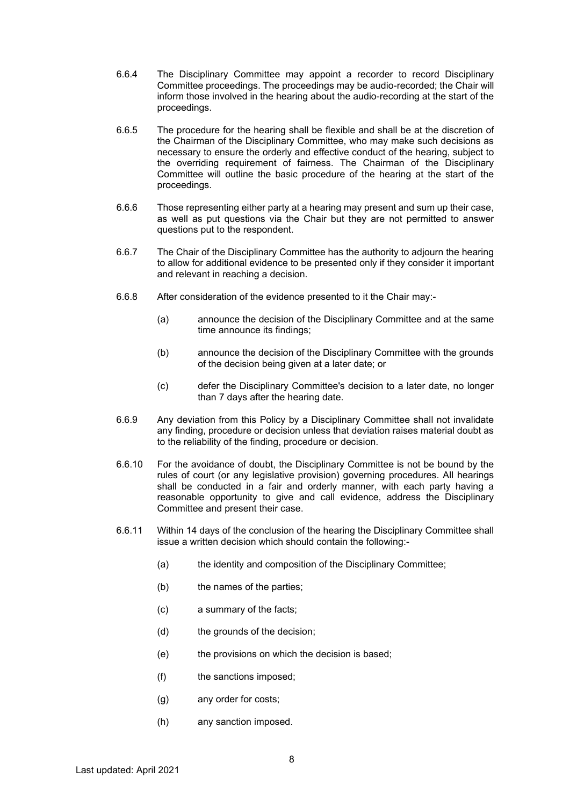- 6.6.4 The Disciplinary Committee may appoint a recorder to record Disciplinary Committee proceedings. The proceedings may be audio-recorded; the Chair will inform those involved in the hearing about the audio-recording at the start of the proceedings.
- 6.6.5 The procedure for the hearing shall be flexible and shall be at the discretion of the Chairman of the Disciplinary Committee, who may make such decisions as necessary to ensure the orderly and effective conduct of the hearing, subject to the overriding requirement of fairness. The Chairman of the Disciplinary Committee will outline the basic procedure of the hearing at the start of the proceedings.
- 6.6.6 Those representing either party at a hearing may present and sum up their case, as well as put questions via the Chair but they are not permitted to answer questions put to the respondent.
- 6.6.7 The Chair of the Disciplinary Committee has the authority to adjourn the hearing to allow for additional evidence to be presented only if they consider it important and relevant in reaching a decision.
- 6.6.8 After consideration of the evidence presented to it the Chair may:-
	- (a) announce the decision of the Disciplinary Committee and at the same time announce its findings;
	- (b) announce the decision of the Disciplinary Committee with the grounds of the decision being given at a later date; or
	- (c) defer the Disciplinary Committee's decision to a later date, no longer than 7 days after the hearing date.
- 6.6.9 Any deviation from this Policy by a Disciplinary Committee shall not invalidate any finding, procedure or decision unless that deviation raises material doubt as to the reliability of the finding, procedure or decision.
- 6.6.10 For the avoidance of doubt, the Disciplinary Committee is not be bound by the rules of court (or any legislative provision) governing procedures. All hearings shall be conducted in a fair and orderly manner, with each party having a reasonable opportunity to give and call evidence, address the Disciplinary Committee and present their case.
- <span id="page-7-0"></span>6.6.11 Within 14 days of the conclusion of the hearing the Disciplinary Committee shall issue a written decision which should contain the following:-
	- (a) the identity and composition of the Disciplinary Committee;
	- (b) the names of the parties;
	- (c) a summary of the facts;
	- (d) the grounds of the decision;
	- (e) the provisions on which the decision is based;
	- (f) the sanctions imposed;
	- (g) any order for costs;
	- (h) any sanction imposed.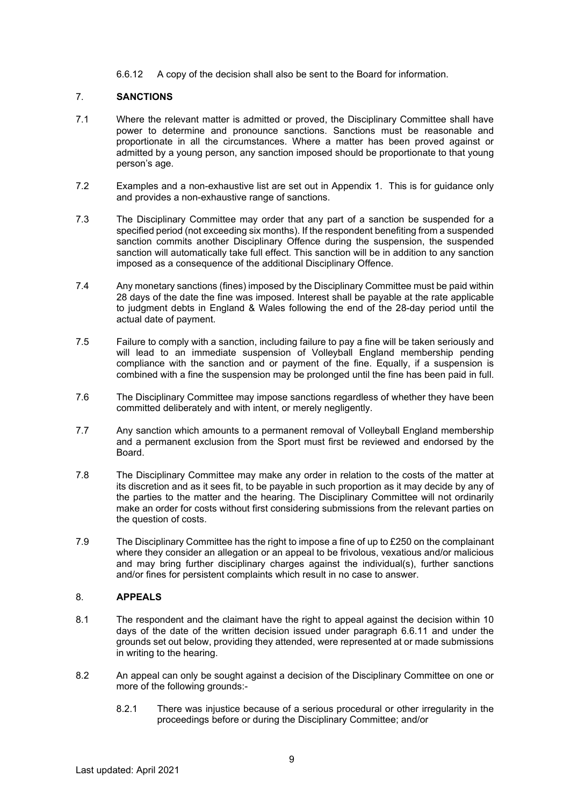6.6.12 A copy of the decision shall also be sent to the Board for information.

# 7. **SANCTIONS**

- 7.1 Where the relevant matter is admitted or proved, the Disciplinary Committee shall have power to determine and pronounce sanctions. Sanctions must be reasonable and proportionate in all the circumstances. Where a matter has been proved against or admitted by a young person, any sanction imposed should be proportionate to that young person's age.
- 7.2 Examples and a non-exhaustive list are set out in Appendix 1. This is for guidance only and provides a non-exhaustive range of sanctions.
- 7.3 The Disciplinary Committee may order that any part of a sanction be suspended for a specified period (not exceeding six months). If the respondent benefiting from a suspended sanction commits another Disciplinary Offence during the suspension, the suspended sanction will automatically take full effect. This sanction will be in addition to any sanction imposed as a consequence of the additional Disciplinary Offence.
- 7.4 Any monetary sanctions (fines) imposed by the Disciplinary Committee must be paid within 28 days of the date the fine was imposed. Interest shall be payable at the rate applicable to judgment debts in England & Wales following the end of the 28-day period until the actual date of payment.
- 7.5 Failure to comply with a sanction, including failure to pay a fine will be taken seriously and will lead to an immediate suspension of Volleyball England membership pending compliance with the sanction and or payment of the fine. Equally, if a suspension is combined with a fine the suspension may be prolonged until the fine has been paid in full.
- 7.6 The Disciplinary Committee may impose sanctions regardless of whether they have been committed deliberately and with intent, or merely negligently.
- 7.7 Any sanction which amounts to a permanent removal of Volleyball England membership and a permanent exclusion from the Sport must first be reviewed and endorsed by the Board.
- 7.8 The Disciplinary Committee may make any order in relation to the costs of the matter at its discretion and as it sees fit, to be payable in such proportion as it may decide by any of the parties to the matter and the hearing. The Disciplinary Committee will not ordinarily make an order for costs without first considering submissions from the relevant parties on the question of costs.
- 7.9 The Disciplinary Committee has the right to impose a fine of up to £250 on the complainant where they consider an allegation or an appeal to be frivolous, vexatious and/or malicious and may bring further disciplinary charges against the individual(s), further sanctions and/or fines for persistent complaints which result in no case to answer.

# 8. **APPEALS**

- 8.1 The respondent and the claimant have the right to appeal against the decision within 10 days of the date of the written decision issued under paragraph [6.6.11](#page-7-0) and under the grounds set out below, providing they attended, were represented at or made submissions in writing to the hearing.
- 8.2 An appeal can only be sought against a decision of the Disciplinary Committee on one or more of the following grounds:-
	- 8.2.1 There was injustice because of a serious procedural or other irregularity in the proceedings before or during the Disciplinary Committee; and/or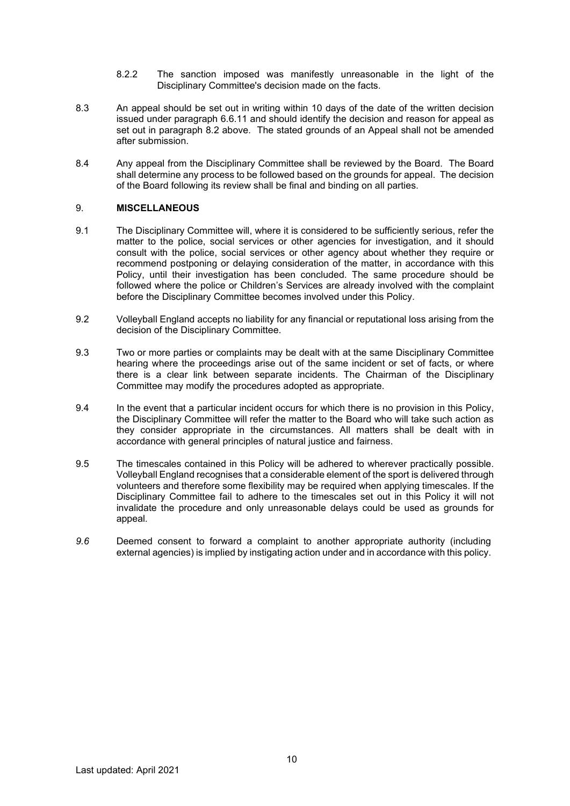- 8.2.2 The sanction imposed was manifestly unreasonable in the light of the Disciplinary Committee's decision made on the facts.
- 8.3 An appeal should be set out in writing within 10 days of the date of the written decision issued under paragraph [6.6.11](#page-7-0) and should identify the decision and reason for appeal as set out in paragraph 8.2 above. The stated grounds of an Appeal shall not be amended after submission.
- 8.4 Any appeal from the Disciplinary Committee shall be reviewed by the Board. The Board shall determine any process to be followed based on the grounds for appeal. The decision of the Board following its review shall be final and binding on all parties.

## 9. **MISCELLANEOUS**

- 9.1 The Disciplinary Committee will, where it is considered to be sufficiently serious, refer the matter to the police, social services or other agencies for investigation, and it should consult with the police, social services or other agency about whether they require or recommend postponing or delaying consideration of the matter, in accordance with this Policy, until their investigation has been concluded. The same procedure should be followed where the police or Children's Services are already involved with the complaint before the Disciplinary Committee becomes involved under this Policy.
- 9.2 Volleyball England accepts no liability for any financial or reputational loss arising from the decision of the Disciplinary Committee.
- 9.3 Two or more parties or complaints may be dealt with at the same Disciplinary Committee hearing where the proceedings arise out of the same incident or set of facts, or where there is a clear link between separate incidents. The Chairman of the Disciplinary Committee may modify the procedures adopted as appropriate.
- 9.4 In the event that a particular incident occurs for which there is no provision in this Policy, the Disciplinary Committee will refer the matter to the Board who will take such action as they consider appropriate in the circumstances. All matters shall be dealt with in accordance with general principles of natural justice and fairness.
- 9.5 The timescales contained in this Policy will be adhered to wherever practically possible. Volleyball England recognises that a considerable element of the sport is delivered through volunteers and therefore some flexibility may be required when applying timescales. If the Disciplinary Committee fail to adhere to the timescales set out in this Policy it will not invalidate the procedure and only unreasonable delays could be used as grounds for appeal.
- *9.6* Deemed consent to forward a complaint to another appropriate authority (including external agencies) is implied by instigating action under and in accordance with this policy.